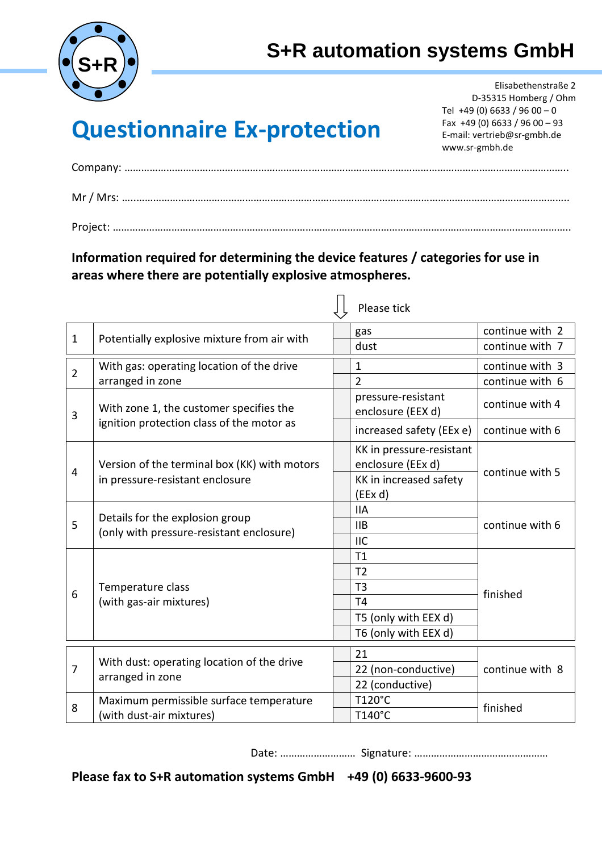

## **S+R automation systems GmbH**

## **Questionnaire Ex-protection**

 Elisabethenstraße 2 D-35315 Homberg / Ohm Tel  $+49(0)$  6633 / 96 00 - 0 Fax +49 (0) 6633 / 96 00 – 93 E-mail: vertrieb@sr-gmbh.de www.sr-gmbh.de

Company: ………………………………………………………….………………………………………………………………………………..

**Information required for determining the device features / categories for use in areas where there are potentially explosive atmospheres.** 

|                |                                                                                      | Please tick                                   |                 |
|----------------|--------------------------------------------------------------------------------------|-----------------------------------------------|-----------------|
| $\mathbf{1}$   | Potentially explosive mixture from air with                                          | gas                                           | continue with 2 |
|                |                                                                                      | dust                                          | continue with 7 |
| $\overline{2}$ | With gas: operating location of the drive                                            | $\mathbf{1}$                                  | continue with 3 |
|                | arranged in zone                                                                     | $\overline{2}$                                | continue with 6 |
| 3              | With zone 1, the customer specifies the<br>ignition protection class of the motor as | pressure-resistant<br>enclosure (EEX d)       | continue with 4 |
|                |                                                                                      | increased safety (EEx e)                      | continue with 6 |
| 4              | Version of the terminal box (KK) with motors<br>in pressure-resistant enclosure      | KK in pressure-resistant<br>enclosure (EEx d) | continue with 5 |
|                |                                                                                      | KK in increased safety<br>(EEx d)             |                 |
| 5              | Details for the explosion group<br>(only with pressure-resistant enclosure)          | <b>IIA</b>                                    | continue with 6 |
|                |                                                                                      | IIB                                           |                 |
|                |                                                                                      | <b>IIC</b>                                    |                 |
| 6              |                                                                                      | T1                                            |                 |
|                |                                                                                      | T <sub>2</sub>                                |                 |
|                | Temperature class                                                                    | T <sub>3</sub>                                | finished        |
|                | (with gas-air mixtures)                                                              | T <sub>4</sub>                                |                 |
|                |                                                                                      | T5 (only with EEX d)                          |                 |
|                |                                                                                      | T6 (only with EEX d)                          |                 |
| $\overline{7}$ | With dust: operating location of the drive<br>arranged in zone                       | 21                                            |                 |
|                |                                                                                      | 22 (non-conductive)                           | continue with 8 |
|                |                                                                                      | 22 (conductive)                               |                 |
| 8              | Maximum permissible surface temperature<br>(with dust-air mixtures)                  | T120°C                                        | finished        |
|                |                                                                                      | T140°C                                        |                 |

Date: ……………………… Signature: …………………………………………

**Please fax to S+R automation systems GmbH +49 (0) 6633-9600-93**